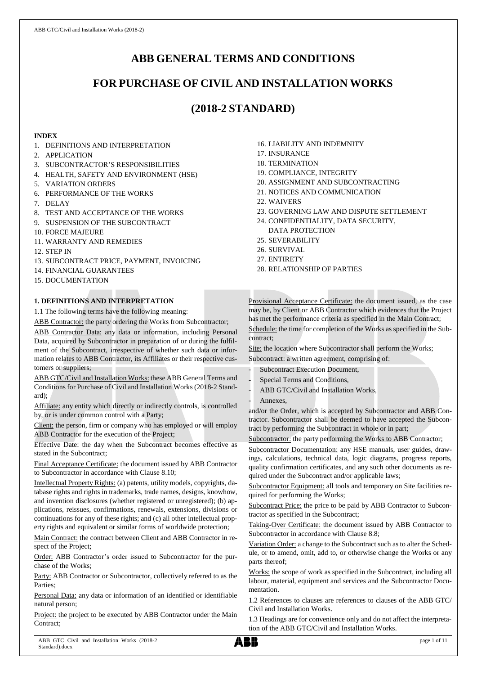# **ABB GENERAL TERMS AND CONDITIONS**

# **FOR PURCHASE OF CIVIL AND INSTALLATION WORKS**

# **(2018-2 STANDARD)**

## **INDEX**

- 1. DEFINITIONS AND INTERPRETATION
- 2. APPLICATION
- 3. SUBCONTRACTOR'S RESPONSIBILITIES
- 4. HEALTH, SAFETY AND ENVIRONMENT (HSE)
- 5. VARIATION ORDERS
- 6. PERFORMANCE OF THE WORKS
- 7. DELAY
- 8. TEST AND ACCEPTANCE OF THE WORKS
- 9. SUSPENSION OF THE SUBCONTRACT
- 10. FORCE MAJEURE
- 11. WARRANTY AND REMEDIES
- 12. STEP IN
- 13. SUBCONTRACT PRICE, PAYMENT, INVOICING
- 14. FINANCIAL GUARANTEES
- 15. DOCUMENTATION

## **1. DEFINITIONS AND INTERPRETATION**

1.1 The following terms have the following meaning:

ABB Contractor: the party ordering the Works from Subcontractor; ABB Contractor Data: any data or information, including Personal Data, acquired by Subcontractor in preparation of or during the fulfilment of the Subcontract, irrespective of whether such data or information relates to ABB Contractor, its Affiliates or their respective customers or suppliers;

ABB GTC/Civil and Installation Works: these ABB General Terms and Conditions for Purchase of Civil and Installation Works (2018-2 Standard);

Affiliate: any entity which directly or indirectly controls, is controlled by, or is under common control with a Party;

Client: the person, firm or company who has employed or will employ ABB Contractor for the execution of the Project;

Effective Date: the day when the Subcontract becomes effective as stated in the Subcontract;

Final Acceptance Certificate: the document issued by ABB Contractor to Subcontractor in accordance with Clause 8.10;

Intellectual Property Rights: (a) patents, utility models, copyrights, database rights and rights in trademarks, trade names, designs, knowhow, and invention disclosures (whether registered or unregistered); (b) applications, reissues, confirmations, renewals, extensions, divisions or continuations for any of these rights; and (c) all other intellectual property rights and equivalent or similar forms of worldwide protection;

Main Contract: the contract between Client and ABB Contractor in respect of the Project;

Order: ABB Contractor's order issued to Subcontractor for the purchase of the Works;

Party: ABB Contractor or Subcontractor, collectively referred to as the Parties;

Personal Data: any data or information of an identified or identifiable natural person;

Project: the project to be executed by ABB Contractor under the Main Contract;

- 16. LIABILITY AND INDEMNITY
- 17. INSURANCE
- 18. TERMINATION
- 19. COMPLIANCE, INTEGRITY
- 20. ASSIGNMENT AND SUBCONTRACTING
- 21. NOTICES AND COMMUNICATION
- 22. WAIVERS
- 23. GOVERNING LAW AND DISPUTE SETTLEMENT
- 24. CONFIDENTIALITY, DATA SECURITY, DATA PROTECTION
- 25. SEVERABILITY
- 26. SURVIVAL
- 27. ENTIRETY
- 28. RELATIONSHIP OF PARTIES

Provisional Acceptance Certificate: the document issued, as the case may be, by Client or ABB Contractor which evidences that the Project has met the performance criteria as specified in the Main Contract;

Schedule: the time for completion of the Works as specified in the Subcontract;

Site: the location where Subcontractor shall perform the Works;

Subcontract: a written agreement, comprising of:

- Subcontract Execution Document,
- Special Terms and Conditions,
- ABB GTC/Civil and Installation Works,
- Annexes.

and/or the Order, which is accepted by Subcontractor and ABB Contractor. Subcontractor shall be deemed to have accepted the Subcontract by performing the Subcontract in whole or in part;

Subcontractor: the party performing the Works to ABB Contractor;

Subcontractor Documentation: any HSE manuals, user guides, drawings, calculations, technical data, logic diagrams, progress reports, quality confirmation certificates, and any such other documents as required under the Subcontract and/or applicable laws;

Subcontractor Equipment: all tools and temporary on Site facilities required for performing the Works;

Subcontract Price: the price to be paid by ABB Contractor to Subcontractor as specified in the Subcontract;

Taking-Over Certificate: the document issued by ABB Contractor to Subcontractor in accordance with Clause 8.8;

Variation Order: a change to the Subcontract such as to alter the Schedule, or to amend, omit, add to, or otherwise change the Works or any parts thereof;

Works: the scope of work as specified in the Subcontract, including all labour, material, equipment and services and the Subcontractor Documentation.

1.2 References to clauses are references to clauses of the ABB GTC/ Civil and Installation Works.

1.3 Headings are for convenience only and do not affect the interpretation of the ABB GTC/Civil and Installation Works.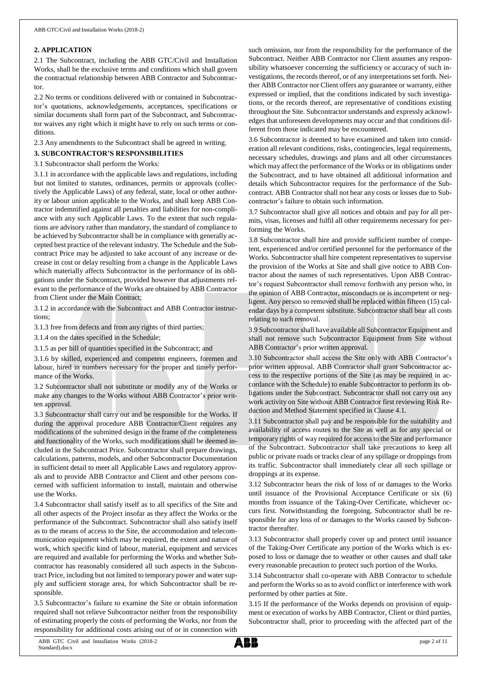## **2. APPLICATION**

2.1 The Subcontract, including the ABB GTC/Civil and Installation Works, shall be the exclusive terms and conditions which shall govern the contractual relationship between ABB Contractor and Subcontractor.

2.2 No terms or conditions delivered with or contained in Subcontractor's quotations, acknowledgements, acceptances, specifications or similar documents shall form part of the Subcontract, and Subcontractor waives any right which it might have to rely on such terms or conditions.

2.3 Any amendments to the Subcontract shall be agreed in writing.

## **3. SUBCONTRACTOR'S RESPONSIBILITIES**

## 3.1 Subcontractor shall perform the Works:

3.1.1 in accordance with the applicable laws and regulations, including but not limited to statutes, ordinances, permits or approvals (collectively the Applicable Laws) of any federal, state, local or other authority or labour union applicable to the Works, and shall keep ABB Contractor indemnified against all penalties and liabilities for non-compliance with any such Applicable Laws. To the extent that such regulations are advisory rather than mandatory, the standard of compliance to be achieved by Subcontractor shall be in compliance with generally accepted best practice of the relevant industry. The Schedule and the Subcontract Price may be adjusted to take account of any increase or decrease in cost or delay resulting from a change in the Applicable Laws which materially affects Subcontractor in the performance of its obligations under the Subcontract, provided however that adjustments relevant to the performance of the Works are obtained by ABB Contractor from Client under the Main Contract;

3.1.2 in accordance with the Subcontract and ABB Contractor instructions;

3.1.3 free from defects and from any rights of third parties;

3.1.4 on the dates specified in the Schedule;

3.1.5 as per bill of quantities specified in the Subcontract; and

3.1.6 by skilled, experienced and competent engineers, foremen and labour, hired in numbers necessary for the proper and timely performance of the Works.

3.2 Subcontractor shall not substitute or modify any of the Works or make any changes to the Works without ABB Contractor's prior written approval.

3.3 Subcontractor shall carry out and be responsible for the Works. If during the approval procedure ABB Contractor/Client requires any modifications of the submitted design in the frame of the completeness and functionality of the Works, such modifications shall be deemed included in the Subcontract Price. Subcontractor shall prepare drawings, calculations, patterns, models, and other Subcontractor Documentation in sufficient detail to meet all Applicable Laws and regulatory approvals and to provide ABB Contractor and Client and other persons concerned with sufficient information to install, maintain and otherwise use the Works.

3.4 Subcontractor shall satisfy itself as to all specifics of the Site and all other aspects of the Project insofar as they affect the Works or the performance of the Subcontract. Subcontractor shall also satisfy itself as to the means of access to the Site, the accommodation and telecommunication equipment which may be required, the extent and nature of work, which specific kind of labour, material, equipment and services are required and available for performing the Works and whether Subcontractor has reasonably considered all such aspects in the Subcontract Price, including but not limited to temporary power and water supply and sufficient storage area, for which Subcontractor shall be responsible.

3.5 Subcontractor's failure to examine the Site or obtain information required shall not relieve Subcontractor neither from the responsibility of estimating properly the costs of performing the Works, nor from the responsibility for additional costs arising out of or in connection with

such omission, nor from the responsibility for the performance of the Subcontract. Neither ABB Contractor nor Client assumes any responsibility whatsoever concerning the sufficiency or accuracy of such investigations, the records thereof, or of any interpretations set forth. Neither ABB Contractor nor Client offers any guarantee or warranty, either expressed or implied, that the conditions indicated by such investigations, or the records thereof, are representative of conditions existing throughout the Site. Subcontractor understands and expressly acknowledges that unforeseen developments may occur and that conditions different from those indicated may be encountered.

3.6 Subcontractor is deemed to have examined and taken into consideration all relevant conditions, risks, contingencies, legal requirements, necessary schedules, drawings and plans and all other circumstances which may affect the performance of the Works or its obligations under the Subcontract, and to have obtained all additional information and details which Subcontractor requires for the performance of the Subcontract. ABB Contractor shall not bear any costs or losses due to Subcontractor's failure to obtain such information.

3.7 Subcontractor shall give all notices and obtain and pay for all permits, visas, licenses and fulfil all other requirements necessary for performing the Works.

3.8 Subcontractor shall hire and provide sufficient number of competent, experienced and/or certified personnel for the performance of the Works. Subcontractor shall hire competent representatives to supervise the provision of the Works at Site and shall give notice to ABB Contractor about the names of such representatives. Upon ABB Contractor's request Subcontractor shall remove forthwith any person who, in the opinion of ABB Contractor, misconducts or is incompetent or negligent. Any person so removed shall be replaced within fifteen (15) calendar days by a competent substitute. Subcontractor shall bear all costs relating to such removal.

3.9 Subcontractor shall have available all Subcontractor Equipment and shall not remove such Subcontractor Equipment from Site without ABB Contractor's prior written approval.

3.10 Subcontractor shall access the Site only with ABB Contractor's prior written approval. ABB Contractor shall grant Subcontractor access to the respective portions of the Site (as may be required in accordance with the Schedule) to enable Subcontractor to perform its obligations under the Subcontract. Subcontractor shall not carry out any work activity on Site without ABB Contractor first reviewing Risk Reduction and Method Statement specified in Clause 4.1.

3.11 Subcontractor shall pay and be responsible for the suitability and availability of access routes to the Site as well as for any special or temporary rights of way required for access to the Site and performance of the Subcontract. Subcontractor shall take precautions to keep all public or private roads or tracks clear of any spillage or droppings from its traffic. Subcontractor shall immediately clear all such spillage or droppings at its expense.

3.12 Subcontractor bears the risk of loss of or damages to the Works until issuance of the Provisional Acceptance Certificate or six (6) months from issuance of the Taking-Over Certificate, whichever occurs first. Notwithstanding the foregoing, Subcontractor shall be responsible for any loss of or damages to the Works caused by Subcontractor thereafter.

3.13 Subcontractor shall properly cover up and protect until issuance of the Taking-Over Certificate any portion of the Works which is exposed to loss or damage due to weather or other causes and shall take every reasonable precaution to protect such portion of the Works.

3.14 Subcontractor shall co-operate with ABB Contractor to schedule and perform the Works so as to avoid conflict or interference with work performed by other parties at Site.

3.15 If the performance of the Works depends on provision of equipment or execution of works by ABB Contractor, Client or third parties, Subcontractor shall, prior to proceeding with the affected part of the

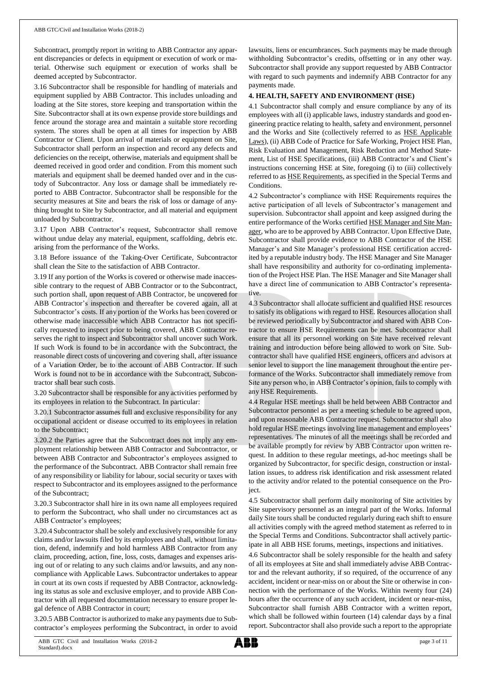Subcontract, promptly report in writing to ABB Contractor any apparent discrepancies or defects in equipment or execution of work or material. Otherwise such equipment or execution of works shall be deemed accepted by Subcontractor.

3.16 Subcontractor shall be responsible for handling of materials and equipment supplied by ABB Contractor. This includes unloading and loading at the Site stores, store keeping and transportation within the Site. Subcontractor shall at its own expense provide store buildings and fence around the storage area and maintain a suitable store recording system. The stores shall be open at all times for inspection by ABB Contractor or Client. Upon arrival of materials or equipment on Site, Subcontractor shall perform an inspection and record any defects and deficiencies on the receipt, otherwise, materials and equipment shall be deemed received in good order and condition. From this moment such materials and equipment shall be deemed handed over and in the custody of Subcontractor. Any loss or damage shall be immediately reported to ABB Contractor. Subcontractor shall be responsible for the security measures at Site and bears the risk of loss or damage of anything brought to Site by Subcontractor, and all material and equipment unloaded by Subcontractor.

3.17 Upon ABB Contractor's request, Subcontractor shall remove without undue delay any material, equipment, scaffolding, debris etc. arising from the performance of the Works.

3.18 Before issuance of the Taking-Over Certificate, Subcontractor shall clean the Site to the satisfaction of ABB Contractor.

3.19 If any portion of the Works is covered or otherwise made inaccessible contrary to the request of ABB Contractor or to the Subcontract, such portion shall, upon request of ABB Contractor, be uncovered for ABB Contractor's inspection and thereafter be covered again, all at Subcontractor's costs. If any portion of the Works has been covered or otherwise made inaccessible which ABB Contractor has not specifically requested to inspect prior to being covered, ABB Contractor reserves the right to inspect and Subcontractor shall uncover such Work. If such Work is found to be in accordance with the Subcontract, the reasonable direct costs of uncovering and covering shall, after issuance of a Variation Order, be to the account of ABB Contractor. If such Work is found not to be in accordance with the Subcontract, Subcontractor shall bear such costs.

3.20 Subcontractor shall be responsible for any activities performed by its employees in relation to the Subcontract. In particular:

3.20.1 Subcontractor assumes full and exclusive responsibility for any occupational accident or disease occurred to its employees in relation to the Subcontract;

3.20.2 the Parties agree that the Subcontract does not imply any employment relationship between ABB Contractor and Subcontractor, or between ABB Contractor and Subcontractor's employees assigned to the performance of the Subcontract. ABB Contractor shall remain free of any responsibility or liability for labour, social security or taxes with respect to Subcontractor and its employees assigned to the performance of the Subcontract;

3.20.3 Subcontractor shall hire in its own name all employees required to perform the Subcontract, who shall under no circumstances act as ABB Contractor's employees;

3.20.4 Subcontractorshall be solely and exclusively responsible for any claims and/or lawsuits filed by its employees and shall, without limitation, defend, indemnify and hold harmless ABB Contractor from any claim, proceeding, action, fine, loss, costs, damages and expenses arising out of or relating to any such claims and/or lawsuits, and any noncompliance with Applicable Laws. Subcontractor undertakes to appear in court at its own costs if requested by ABB Contractor, acknowledging its status as sole and exclusive employer, and to provide ABB Contractor with all requested documentation necessary to ensure proper legal defence of ABB Contractor in court;

3.20.5 ABB Contractor is authorized to make any payments due to Subcontractor's employees performing the Subcontract, in order to avoid lawsuits, liens or encumbrances. Such payments may be made through withholding Subcontractor's credits, offsetting or in any other way. Subcontractor shall provide any support requested by ABB Contractor with regard to such payments and indemnify ABB Contractor for any payments made.

## **4. HEALTH, SAFETY AND ENVIRONMENT (HSE)**

4.1 Subcontractor shall comply and ensure compliance by any of its employees with all (i) applicable laws, industry standards and good engineering practice relating to health, safety and environment, personnel and the Works and Site (collectively referred to as HSE Applicable Laws), (ii) ABB Code of Practice for Safe Working, Project HSE Plan, Risk Evaluation and Management, Risk Reduction and Method Statement, List of HSE Specifications, (iii) ABB Contractor's and Client's instructions concerning HSE at Site, foregoing (i) to (iii) collectively referred to as HSE Requirements, as specified in the Special Terms and Conditions.

4.2 Subcontractor's compliance with HSE Requirements requires the active participation of all levels of Subcontractor's management and supervision. Subcontractor shall appoint and keep assigned during the entire performance of the Works certified HSE Manager and Site Manager, who are to be approved by ABB Contractor. Upon Effective Date, Subcontractor shall provide evidence to ABB Contractor of the HSE Manager's and Site Manager's professional HSE certification accredited by a reputable industry body. The HSE Manager and Site Manager shall have responsibility and authority for co-ordinating implementation of the Project HSE Plan. The HSE Manager and Site Manager shall have a direct line of communication to ABB Contractor's representative.

4.3 Subcontractor shall allocate sufficient and qualified HSE resources to satisfy its obligations with regard to HSE. Resources allocation shall be reviewed periodically by Subcontractor and shared with ABB Contractor to ensure HSE Requirements can be met. Subcontractor shall ensure that all its personnel working on Site have received relevant training and introduction before being allowed to work on Site. Subcontractor shall have qualified HSE engineers, officers and advisors at senior level to support the line management throughout the entire performance of the Works. Subcontractor shall immediately remove from Site any person who, in ABB Contractor's opinion, fails to comply with any HSE Requirements.

4.4 Regular HSE meetings shall be held between ABB Contractor and Subcontractor personnel as per a meeting schedule to be agreed upon, and upon reasonable ABB Contractor request. Subcontractor shall also hold regular HSE meetings involving line management and employees' representatives. The minutes of all the meetings shall be recorded and be available promptly for review by ABB Contractor upon written request. In addition to these regular meetings, ad-hoc meetings shall be organized by Subcontractor, for specific design, construction or installation issues, to address risk identification and risk assessment related to the activity and/or related to the potential consequence on the Project.

4.5 Subcontractor shall perform daily monitoring of Site activities by Site supervisory personnel as an integral part of the Works. Informal daily Site tours shall be conducted regularly during each shift to ensure all activities comply with the agreed method statement as referred to in the Special Terms and Conditions. Subcontractor shall actively participate in all ABB HSE forums, meetings, inspections and initiatives.

4.6 Subcontractor shall be solely responsible for the health and safety of all its employees at Site and shall immediately advise ABB Contractor and the relevant authority, if so required, of the occurrence of any accident, incident or near-miss on or about the Site or otherwise in connection with the performance of the Works. Within twenty four (24) hours after the occurrence of any such accident, incident or near-miss, Subcontractor shall furnish ABB Contractor with a written report, which shall be followed within fourteen (14) calendar days by a final report. Subcontractor shall also provide such a report to the appropriate

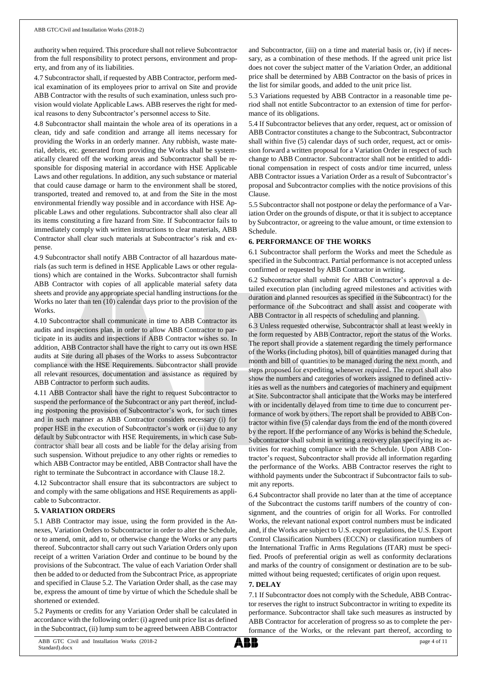authority when required. This procedure shall not relieve Subcontractor from the full responsibility to protect persons, environment and property, and from any of its liabilities.

4.7 Subcontractor shall, if requested by ABB Contractor, perform medical examination of its employees prior to arrival on Site and provide ABB Contractor with the results of such examination, unless such provision would violate Applicable Laws. ABB reserves the right for medical reasons to deny Subcontractor's personnel access to Site.

4.8 Subcontractor shall maintain the whole area of its operations in a clean, tidy and safe condition and arrange all items necessary for providing the Works in an orderly manner. Any rubbish, waste material, debris, etc. generated from providing the Works shall be systematically cleared off the working areas and Subcontractor shall be responsible for disposing material in accordance with HSE Applicable Laws and other regulations. In addition, any such substance or material that could cause damage or harm to the environment shall be stored, transported, treated and removed to, at and from the Site in the most environmental friendly way possible and in accordance with HSE Applicable Laws and other regulations. Subcontractor shall also clear all its items constituting a fire hazard from Site. If Subcontractor fails to immediately comply with written instructions to clear materials, ABB Contractor shall clear such materials at Subcontractor's risk and expense.

4.9 Subcontractor shall notify ABB Contractor of all hazardous materials (as such term is defined in HSE Applicable Laws or other regulations) which are contained in the Works. Subcontractor shall furnish ABB Contractor with copies of all applicable material safety data sheets and provide any appropriate special handling instructions for the Works no later than ten (10) calendar days prior to the provision of the Works.

4.10 Subcontractor shall communicate in time to ABB Contractor its audits and inspections plan, in order to allow ABB Contractor to participate in its audits and inspections if ABB Contractor wishes so. In addition, ABB Contractor shall have the right to carry out its own HSE audits at Site during all phases of the Works to assess Subcontractor compliance with the HSE Requirements. Subcontractor shall provide all relevant resources, documentation and assistance as required by ABB Contractor to perform such audits.

4.11 ABB Contractor shall have the right to request Subcontractor to suspend the performance of the Subcontract or any part thereof, including postponing the provision of Subcontractor's work, for such times and in such manner as ABB Contractor considers necessary (i) for proper HSE in the execution of Subcontractor's work or (ii) due to any default by Subcontractor with HSE Requirements, in which case Subcontractor shall bear all costs and be liable for the delay arising from such suspension. Without prejudice to any other rights or remedies to which ABB Contractor may be entitled, ABB Contractor shall have the right to terminate the Subcontract in accordance with Clause 18.2.

4.12 Subcontractor shall ensure that its subcontractors are subject to and comply with the same obligations and HSE Requirements as applicable to Subcontractor.

## **5. VARIATION ORDERS**

5.1 ABB Contractor may issue, using the form provided in the Annexes, Variation Orders to Subcontractor in order to alter the Schedule, or to amend, omit, add to, or otherwise change the Works or any parts thereof. Subcontractor shall carry out such Variation Orders only upon receipt of a written Variation Order and continue to be bound by the provisions of the Subcontract. The value of each Variation Order shall then be added to or deducted from the Subcontract Price, as appropriate and specified in Clause 5.2. The Variation Order shall, as the case may be, express the amount of time by virtue of which the Schedule shall be shortened or extended.

5.2 Payments or credits for any Variation Order shall be calculated in accordance with the following order: (i) agreed unit price list as defined in the Subcontract, (ii) lump sum to be agreed between ABB Contractor

and Subcontractor, (iii) on a time and material basis or, (iv) if necessary, as a combination of these methods. If the agreed unit price list does not cover the subject matter of the Variation Order, an additional price shall be determined by ABB Contractor on the basis of prices in the list for similar goods, and added to the unit price list.

5.3 Variations requested by ABB Contractor in a reasonable time period shall not entitle Subcontractor to an extension of time for performance of its obligations.

5.4 If Subcontractor believes that any order, request, act or omission of ABB Contractor constitutes a change to the Subcontract, Subcontractor shall within five (5) calendar days of such order, request, act or omission forward a written proposal for a Variation Order in respect of such change to ABB Contractor. Subcontractor shall not be entitled to additional compensation in respect of costs and/or time incurred, unless ABB Contractor issues a Variation Order as a result of Subcontractor's proposal and Subcontractor complies with the notice provisions of this Clause.

5.5 Subcontractor shall not postpone or delay the performance of a Variation Order on the grounds of dispute, or that it is subject to acceptance by Subcontractor, or agreeing to the value amount, or time extension to Schedule.

## **6. PERFORMANCE OF THE WORKS**

6.1 Subcontractor shall perform the Works and meet the Schedule as specified in the Subcontract. Partial performance is not accepted unless confirmed or requested by ABB Contractor in writing.

6.2 Subcontractor shall submit for ABB Contractor's approval a detailed execution plan (including agreed milestones and activities with duration and planned resources as specified in the Subcontract) for the performance of the Subcontract and shall assist and cooperate with ABB Contractor in all respects of scheduling and planning.

6.3 Unless requested otherwise, Subcontractor shall at least weekly in the form requested by ABB Contractor, report the status of the Works. The report shall provide a statement regarding the timely performance of the Works (including photos), bill of quantities managed during that month and bill of quantities to be managed during the next month, and steps proposed for expediting whenever required. The report shall also show the numbers and categories of workers assigned to defined activities as well as the numbers and categories of machinery and equipment at Site. Subcontractor shall anticipate that the Works may be interfered with or incidentally delayed from time to time due to concurrent performance of work by others. The report shall be provided to ABB Contractor within five (5) calendar days from the end of the month covered by the report. If the performance of any Works is behind the Schedule, Subcontractor shall submit in writing a recovery plan specifying its activities for reaching compliance with the Schedule. Upon ABB Contractor's request, Subcontractor shall provide all information regarding the performance of the Works. ABB Contractor reserves the right to withhold payments under the Subcontract if Subcontractor fails to submit any reports.

6.4 Subcontractor shall provide no later than at the time of acceptance of the Subcontract the customs tariff numbers of the country of consignment, and the countries of origin for all Works. For controlled Works, the relevant national export control numbers must be indicated and, if the Works are subject to U.S. export regulations, the U.S. Export Control Classification Numbers (ECCN) or classification numbers of the International Traffic in Arms Regulations (ITAR) must be specified. Proofs of preferential origin as well as conformity declarations and marks of the country of consignment or destination are to be submitted without being requested; certificates of origin upon request.

## **7. DELAY**

7.1 If Subcontractor does not comply with the Schedule, ABB Contractor reserves the right to instruct Subcontractor in writing to expedite its performance. Subcontractor shall take such measures as instructed by ABB Contractor for acceleration of progress so as to complete the performance of the Works, or the relevant part thereof, according to

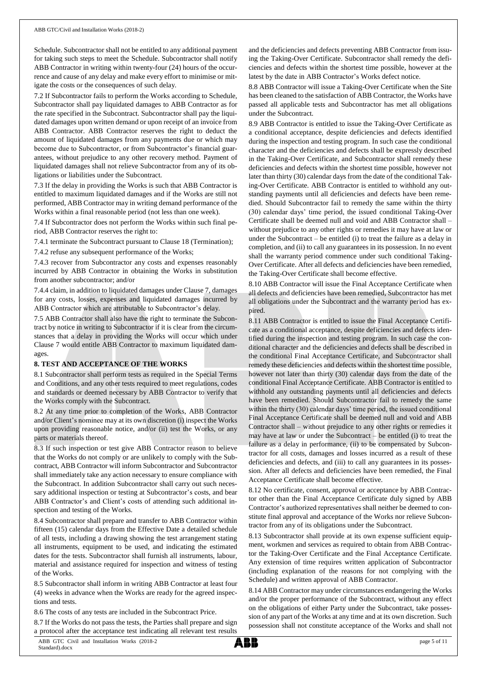Schedule. Subcontractor shall not be entitled to any additional payment for taking such steps to meet the Schedule. Subcontractor shall notify ABB Contractor in writing within twenty-four (24) hours of the occurrence and cause of any delay and make every effort to minimise or mitigate the costs or the consequences of such delay.

7.2 If Subcontractor fails to perform the Works according to Schedule, Subcontractor shall pay liquidated damages to ABB Contractor as for the rate specified in the Subcontract. Subcontractor shall pay the liquidated damages upon written demand or upon receipt of an invoice from ABB Contractor. ABB Contractor reserves the right to deduct the amount of liquidated damages from any payments due or which may become due to Subcontractor, or from Subcontractor's financial guarantees, without prejudice to any other recovery method. Payment of liquidated damages shall not relieve Subcontractor from any of its obligations or liabilities under the Subcontract.

7.3 If the delay in providing the Works is such that ABB Contractor is entitled to maximum liquidated damages and if the Works are still not performed, ABB Contractor may in writing demand performance of the Works within a final reasonable period (not less than one week).

7.4 If Subcontractor does not perform the Works within such final period, ABB Contractor reserves the right to:

7.4.1 terminate the Subcontract pursuant to Clause 18 (Termination);

7.4.2 refuse any subsequent performance of the Works;

7.4.3 recover from Subcontractor any costs and expenses reasonably incurred by ABB Contractor in obtaining the Works in substitution from another subcontractor; and/or

7.4.4 claim, in addition to liquidated damages under Clause 7, damages for any costs, losses, expenses and liquidated damages incurred by ABB Contractor which are attributable to Subcontractor's delay.

7.5 ABB Contractor shall also have the right to terminate the Subcontract by notice in writing to Subcontractor if it is clear from the circumstances that a delay in providing the Works will occur which under Clause 7 would entitle ABB Contractor to maximum liquidated damages.

## **8. TEST AND ACCEPTANCE OF THE WORKS**

8.1 Subcontractor shall perform tests as required in the Special Terms and Conditions, and any other tests required to meet regulations, codes and standards or deemed necessary by ABB Contractor to verify that the Works comply with the Subcontract.

8.2 At any time prior to completion of the Works, ABB Contractor and/or Client's nominee may at its own discretion (i) inspect the Works upon providing reasonable notice, and/or (ii) test the Works, or any parts or materials thereof.

8.3 If such inspection or test give ABB Contractor reason to believe that the Works do not comply or are unlikely to comply with the Subcontract, ABB Contractor will inform Subcontractor and Subcontractor shall immediately take any action necessary to ensure compliance with the Subcontract. In addition Subcontractor shall carry out such necessary additional inspection or testing at Subcontractor's costs, and bear ABB Contractor's and Client's costs of attending such additional inspection and testing of the Works.

8.4 Subcontractor shall prepare and transfer to ABB Contractor within fifteen (15) calendar days from the Effective Date a detailed schedule of all tests, including a drawing showing the test arrangement stating all instruments, equipment to be used, and indicating the estimated dates for the tests. Subcontractor shall furnish all instruments, labour, material and assistance required for inspection and witness of testing of the Works.

8.5 Subcontractor shall inform in writing ABB Contractor at least four (4) weeks in advance when the Works are ready for the agreed inspections and tests.

8.6 The costs of any tests are included in the Subcontract Price.

8.7 If the Works do not pass the tests, the Parties shall prepare and sign a protocol after the acceptance test indicating all relevant test results

and the deficiencies and defects preventing ABB Contractor from issuing the Taking-Over Certificate. Subcontractor shall remedy the deficiencies and defects within the shortest time possible, however at the latest by the date in ABB Contractor's Works defect notice.

8.8 ABB Contractor will issue a Taking-Over Certificate when the Site has been cleaned to the satisfaction of ABB Contractor, the Works have passed all applicable tests and Subcontractor has met all obligations under the Subcontract.

8.9 ABB Contractor is entitled to issue the Taking-Over Certificate as a conditional acceptance, despite deficiencies and defects identified during the inspection and testing program. In such case the conditional character and the deficiencies and defects shall be expressly described in the Taking-Over Certificate, and Subcontractor shall remedy these deficiencies and defects within the shortest time possible, however not later than thirty (30) calendar days from the date of the conditional Taking-Over Certificate. ABB Contractor is entitled to withhold any outstanding payments until all deficiencies and defects have been remedied. Should Subcontractor fail to remedy the same within the thirty (30) calendar days' time period, the issued conditional Taking-Over Certificate shall be deemed null and void and ABB Contractor shall – without prejudice to any other rights or remedies it may have at law or under the Subcontract – be entitled (i) to treat the failure as a delay in completion, and (ii) to call any guarantees in its possession. In no event shall the warranty period commence under such conditional Taking-Over Certificate. After all defects and deficiencies have been remedied, the Taking-Over Certificate shall become effective.

8.10 ABB Contractor will issue the Final Acceptance Certificate when all defects and deficiencies have been remedied, Subcontractor has met all obligations under the Subcontract and the warranty period has expired.

8.11 ABB Contractor is entitled to issue the Final Acceptance Certificate as a conditional acceptance, despite deficiencies and defects identified during the inspection and testing program. In such case the conditional character and the deficiencies and defects shall be described in the conditional Final Acceptance Certificate, and Subcontractor shall remedy these deficiencies and defects within the shortest time possible, however not later than thirty (30) calendar days from the date of the conditional Final Acceptance Certificate. ABB Contractor is entitled to withhold any outstanding payments until all deficiencies and defects have been remedied. Should Subcontractor fail to remedy the same within the thirty (30) calendar days' time period, the issued conditional Final Acceptance Certificate shall be deemed null and void and ABB Contractor shall – without prejudice to any other rights or remedies it may have at law or under the Subcontract – be entitled (i) to treat the failure as a delay in performance, (ii) to be compensated by Subcontractor for all costs, damages and losses incurred as a result of these deficiencies and defects, and (iii) to call any guarantees in its possession. After all defects and deficiencies have been remedied, the Final Acceptance Certificate shall become effective.

8.12 No certificate, consent, approval or acceptance by ABB Contractor other than the Final Acceptance Certificate duly signed by ABB Contractor's authorized representatives shall neither be deemed to constitute final approval and acceptance of the Works nor relieve Subcontractor from any of its obligations under the Subcontract.

8.13 Subcontractor shall provide at its own expense sufficient equipment, workmen and services as required to obtain from ABB Contractor the Taking-Over Certificate and the Final Acceptance Certificate. Any extension of time requires written application of Subcontractor (including explanation of the reasons for not complying with the Schedule) and written approval of ABB Contractor.

8.14 ABB Contractor may under circumstances endangering the Works and/or the proper performance of the Subcontract, without any effect on the obligations of either Party under the Subcontract, take possession of any part of the Works at any time and at its own discretion. Such possession shall not constitute acceptance of the Works and shall not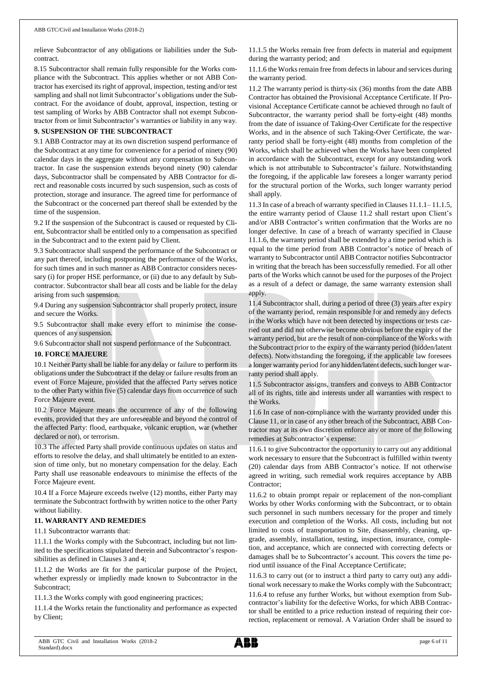relieve Subcontractor of any obligations or liabilities under the Subcontract.

8.15 Subcontractor shall remain fully responsible for the Works compliance with the Subcontract. This applies whether or not ABB Contractor has exercised its right of approval, inspection, testing and/or test sampling and shall not limit Subcontractor's obligations under the Subcontract. For the avoidance of doubt, approval, inspection, testing or test sampling of Works by ABB Contractor shall not exempt Subcontractor from or limit Subcontractor's warranties or liability in any way.

## **9. SUSPENSION OF THE SUBCONTRACT**

9.1 ABB Contractor may at its own discretion suspend performance of the Subcontract at any time for convenience for a period of ninety (90) calendar days in the aggregate without any compensation to Subcontractor. In case the suspension extends beyond ninety (90) calendar days, Subcontractor shall be compensated by ABB Contractor for direct and reasonable costs incurred by such suspension, such as costs of protection, storage and insurance. The agreed time for performance of the Subcontract or the concerned part thereof shall be extended by the time of the suspension.

9.2 If the suspension of the Subcontract is caused or requested by Client, Subcontractor shall be entitled only to a compensation as specified in the Subcontract and to the extent paid by Client.

9.3 Subcontractor shall suspend the performance of the Subcontract or any part thereof, including postponing the performance of the Works, for such times and in such manner as ABB Contractor considers necessary (i) for proper HSE performance, or (ii) due to any default by Subcontractor. Subcontractor shall bear all costs and be liable for the delay arising from such suspension.

9.4 During any suspension Subcontractor shall properly protect, insure and secure the Works.

9.5 Subcontractor shall make every effort to minimise the consequences of any suspension.

9.6 Subcontractor shall not suspend performance of the Subcontract.

## **10. FORCE MAJEURE**

10.1 Neither Party shall be liable for any delay or failure to perform its obligations under the Subcontract if the delay or failure results from an event of Force Majeure, provided that the affected Party serves notice to the other Party within five (5) calendar days from occurrence of such Force Majeure event.

10.2 Force Majeure means the occurrence of any of the following events, provided that they are unforeseeable and beyond the control of the affected Party: flood, earthquake, volcanic eruption, war (whether declared or not), or terrorism.

10.3 The affected Party shall provide continuous updates on status and efforts to resolve the delay, and shall ultimately be entitled to an extension of time only, but no monetary compensation for the delay. Each Party shall use reasonable endeavours to minimise the effects of the Force Majeure event.

10.4 If a Force Majeure exceeds twelve (12) months, either Party may terminate the Subcontract forthwith by written notice to the other Party without liability.

## **11. WARRANTY AND REMEDIES**

11.1 Subcontractor warrants that:

11.1.1 the Works comply with the Subcontract, including but not limited to the specifications stipulated therein and Subcontractor's responsibilities as defined in Clauses 3 and 4;

11.1.2 the Works are fit for the particular purpose of the Project, whether expressly or impliedly made known to Subcontractor in the Subcontract;

11.1.3 the Works comply with good engineering practices;

11.1.4 the Works retain the functionality and performance as expected by Client;

11.1.5 the Works remain free from defects in material and equipment during the warranty period; and

11.1.6 the Works remain free from defects in labour and services during the warranty period.

11.2 The warranty period is thirty-six (36) months from the date ABB Contractor has obtained the Provisional Acceptance Certificate. If Provisional Acceptance Certificate cannot be achieved through no fault of Subcontractor, the warranty period shall be forty-eight (48) months from the date of issuance of Taking-Over Certificate for the respective Works, and in the absence of such Taking-Over Certificate, the warranty period shall be forty-eight (48) months from completion of the Works, which shall be achieved when the Works have been completed in accordance with the Subcontract, except for any outstanding work which is not attributable to Subcontractor's failure. Notwithstanding the foregoing, if the applicable law foresees a longer warranty period for the structural portion of the Works, such longer warranty period shall apply.

11.3 In case of a breach of warranty specified in Clauses 11.1.1– 11.1.5, the entire warranty period of Clause 11.2 shall restart upon Client's and/or ABB Contractor's written confirmation that the Works are no longer defective. In case of a breach of warranty specified in Clause 11.1.6, the warranty period shall be extended by a time period which is equal to the time period from ABB Contractor's notice of breach of warranty to Subcontractor until ABB Contractor notifies Subcontractor in writing that the breach has been successfully remedied. For all other parts of the Works which cannot be used for the purposes of the Project as a result of a defect or damage, the same warranty extension shall apply.

11.4 Subcontractor shall, during a period of three (3) years after expiry of the warranty period, remain responsible for and remedy any defects in the Works which have not been detected by inspections or tests carried out and did not otherwise become obvious before the expiry of the warranty period, but are the result of non-compliance of the Works with the Subcontract prior to the expiry of the warranty period (hidden/latent defects). Notwithstanding the foregoing, if the applicable law foresees a longer warranty period for any hidden/latent defects, such longer warranty period shall apply.

11.5 Subcontractor assigns, transfers and conveys to ABB Contractor all of its rights, title and interests under all warranties with respect to the Works.

11.6 In case of non-compliance with the warranty provided under this Clause 11, or in case of any other breach of the Subcontract, ABB Contractor may at its own discretion enforce any or more of the following remedies at Subcontractor's expense:

11.6.1 to give Subcontractor the opportunity to carry out any additional work necessary to ensure that the Subcontract is fulfilled within twenty (20) calendar days from ABB Contractor's notice. If not otherwise agreed in writing, such remedial work requires acceptance by ABB Contractor;

11.6.2 to obtain prompt repair or replacement of the non-compliant Works by other Works conforming with the Subcontract, or to obtain such personnel in such numbers necessary for the proper and timely execution and completion of the Works. All costs, including but not limited to costs of transportation to Site, disassembly, cleaning, upgrade, assembly, installation, testing, inspection, insurance, completion, and acceptance, which are connected with correcting defects or damages shall be to Subcontractor's account. This covers the time period until issuance of the Final Acceptance Certificate;

11.6.3 to carry out (or to instruct a third party to carry out) any additional work necessary to make the Works comply with the Subcontract; 11.6.4 to refuse any further Works, but without exemption from Subcontractor's liability for the defective Works, for which ABB Contractor shall be entitled to a price reduction instead of requiring their correction, replacement or removal. A Variation Order shall be issued to

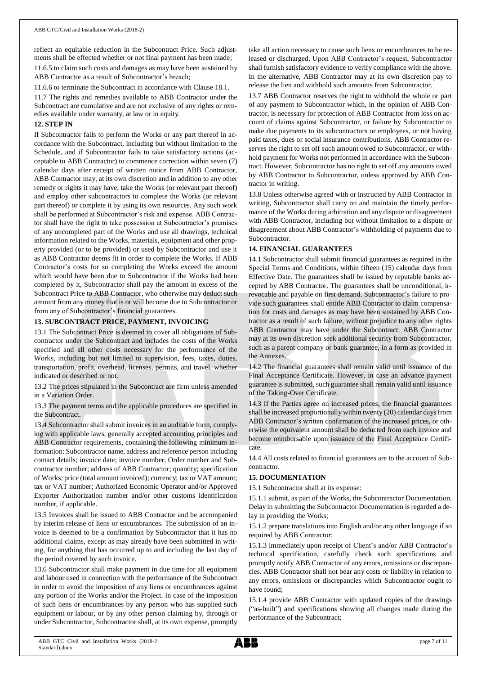reflect an equitable reduction in the Subcontract Price. Such adjustments shall be effected whether or not final payment has been made;

11.6.5 to claim such costs and damages as may have been sustained by ABB Contractor as a result of Subcontractor's breach;

11.6.6 to terminate the Subcontract in accordance with Clause 18.1.

11.7 The rights and remedies available to ABB Contractor under the Subcontract are cumulative and are not exclusive of any rights or remedies available under warranty, at law or in equity.

## **12. STEP IN**

If Subcontractor fails to perform the Works or any part thereof in accordance with the Subcontract, including but without limitation to the Schedule, and if Subcontractor fails to take satisfactory actions (acceptable to ABB Contractor) to commence correction within seven (7) calendar days after receipt of written notice from ABB Contractor, ABB Contractor may, at its own discretion and in addition to any other remedy or rights it may have, take the Works (or relevant part thereof) and employ other subcontractors to complete the Works (or relevant part thereof) or complete it by using its own resources. Any such work shall be performed at Subcontractor's risk and expense. ABB Contractor shall have the right to take possession at Subcontractor's premises of any uncompleted part of the Works and use all drawings, technical information related to the Works, materials, equipment and other property provided (or to be provided) or used by Subcontractor and use it as ABB Contractor deems fit in order to complete the Works. If ABB Contractor's costs for so completing the Works exceed the amount which would have been due to Subcontractor if the Works had been completed by it, Subcontractor shall pay the amount in excess of the Subcontract Price to ABB Contractor, who otherwise may deduct such amount from any money that is or will become due to Subcontractor or from any of Subcontractor's financial guarantees.

## **13. SUBCONTRACT PRICE, PAYMENT, INVOICING**

13.1 The Subcontract Price is deemed to cover all obligations of Subcontractor under the Subcontract and includes the costs of the Works specified and all other costs necessary for the performance of the Works, including but not limited to supervision, fees, taxes, duties, transportation, profit, overhead, licenses, permits, and travel, whether indicated or described or not.

13.2 The prices stipulated in the Subcontract are firm unless amended in a Variation Order.

13.3 The payment terms and the applicable procedures are specified in the Subcontract.

13.4 Subcontractor shall submit invoices in an auditable form, complying with applicable laws, generally accepted accounting principles and ABB Contractor requirements, containing the following minimum information: Subcontractor name, address and reference person including contact details; invoice date; invoice number; Order number and Subcontractor number; address of ABB Contractor; quantity; specification of Works; price (total amount invoiced); currency; tax or VAT amount; tax or VAT number; Authorized Economic Operator and/or Approved Exporter Authorization number and/or other customs identification number, if applicable.

13.5 Invoices shall be issued to ABB Contractor and be accompanied by interim release of liens or encumbrances. The submission of an invoice is deemed to be a confirmation by Subcontractor that it has no additional claims, except as may already have been submitted in writing, for anything that has occurred up to and including the last day of the period covered by such invoice.

13.6 Subcontractor shall make payment in due time for all equipment and labour used in connection with the performance of the Subcontract in order to avoid the imposition of any liens or encumbrances against any portion of the Works and/or the Project. In case of the imposition of such liens or encumbrances by any person who has supplied such equipment or labour, or by any other person claiming by, through or under Subcontractor, Subcontractor shall, at its own expense, promptly

take all action necessary to cause such liens or encumbrances to be released or discharged. Upon ABB Contractor's request, Subcontractor shall furnish satisfactory evidence to verify compliance with the above. In the alternative, ABB Contractor may at its own discretion pay to release the lien and withhold such amounts from Subcontractor.

13.7 ABB Contractor reserves the right to withhold the whole or part of any payment to Subcontractor which, in the opinion of ABB Contractor, is necessary for protection of ABB Contractor from loss on account of claims against Subcontractor, or failure by Subcontractor to make due payments to its subcontractors or employees, or not having paid taxes, dues or social insurance contributions. ABB Contractor reserves the right to set off such amount owed to Subcontractor, or withhold payment for Works not performed in accordance with the Subcontract. However, Subcontractor has no right to set off any amounts owed by ABB Contractor to Subcontractor, unless approved by ABB Contractor in writing.

13.8 Unless otherwise agreed with or instructed by ABB Contractor in writing, Subcontractor shall carry on and maintain the timely performance of the Works during arbitration and any dispute or disagreement with ABB Contractor, including but without limitation to a dispute or disagreement about ABB Contractor's withholding of payments due to Subcontractor.

## **14. FINANCIAL GUARANTEES**

14.1 Subcontractor shall submit financial guarantees as required in the Special Terms and Conditions, within fifteen (15) calendar days from Effective Date. The guarantees shall be issued by reputable banks accepted by ABB Contractor. The guarantees shall be unconditional, irrevocable and payable on first demand. Subcontractor's failure to provide such guarantees shall entitle ABB Contractor to claim compensation for costs and damages as may have been sustained by ABB Contractor as a result of such failure, without prejudice to any other rights ABB Contractor may have under the Subcontract. ABB Contractor may at its own discretion seek additional security from Subcontractor, such as a parent company or bank guarantee, in a form as provided in the Annexes.

14.2 The financial guarantees shall remain valid until issuance of the Final Acceptance Certificate. However, in case an advance payment guarantee is submitted, such guarantee shall remain valid until issuance of the Taking-Over Certificate.

14.3 If the Parties agree on increased prices, the financial guarantees shall be increased proportionally within twenty (20) calendar days from ABB Contractor's written confirmation of the increased prices, or otherwise the equivalent amount shall be deducted from each invoice and become reimbursable upon issuance of the Final Acceptance Certificate.

14.4 All costs related to financial guarantees are to the account of Subcontractor.

## **15. DOCUMENTATION**

15.1 Subcontractor shall at its expense:

15.1.1 submit, as part of the Works, the Subcontractor Documentation. Delay in submitting the Subcontractor Documentation is regarded a delay in providing the Works;

15.1.2 prepare translations into English and/or any other language if so required by ABB Contractor;

15.1.3 immediately upon receipt of Client's and/or ABB Contractor's technical specification, carefully check such specifications and promptly notify ABB Contractor of any errors, omissions or discrepancies. ABB Contractor shall not bear any costs or liability in relation to any errors, omissions or discrepancies which Subcontractor ought to have found;

15.1.4 provide ABB Contractor with updated copies of the drawings ("as-built") and specifications showing all changes made during the performance of the Subcontract;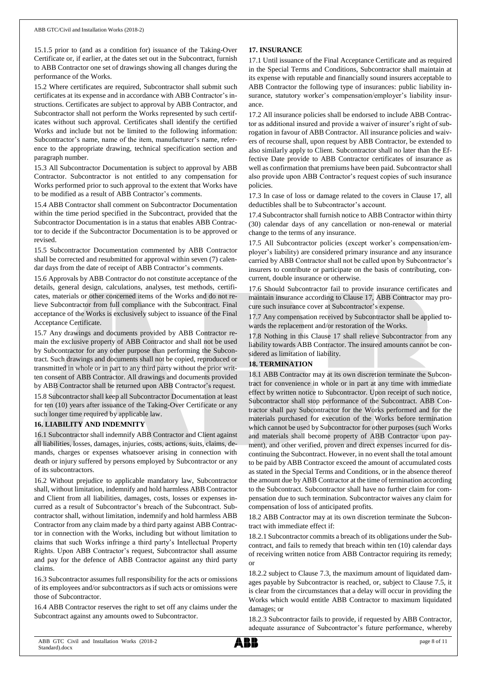15.1.5 prior to (and as a condition for) issuance of the Taking-Over Certificate or, if earlier, at the dates set out in the Subcontract, furnish to ABB Contractor one set of drawings showing all changes during the performance of the Works.

15.2 Where certificates are required, Subcontractor shall submit such certificates at its expense and in accordance with ABB Contractor's instructions. Certificates are subject to approval by ABB Contractor, and Subcontractor shall not perform the Works represented by such certificates without such approval. Certificates shall identify the certified Works and include but not be limited to the following information: Subcontractor's name, name of the item, manufacturer's name, reference to the appropriate drawing, technical specification section and paragraph number.

15.3 All Subcontractor Documentation is subject to approval by ABB Contractor. Subcontractor is not entitled to any compensation for Works performed prior to such approval to the extent that Works have to be modified as a result of ABB Contractor's comments.

15.4 ABB Contractor shall comment on Subcontractor Documentation within the time period specified in the Subcontract, provided that the Subcontractor Documentation is in a status that enables ABB Contractor to decide if the Subcontractor Documentation is to be approved or revised.

15.5 Subcontractor Documentation commented by ABB Contractor shall be corrected and resubmitted for approval within seven (7) calendar days from the date of receipt of ABB Contractor's comments.

15.6 Approvals by ABB Contractor do not constitute acceptance of the details, general design, calculations, analyses, test methods, certificates, materials or other concerned items of the Works and do not relieve Subcontractor from full compliance with the Subcontract. Final acceptance of the Works is exclusively subject to issuance of the Final Acceptance Certificate.

15.7 Any drawings and documents provided by ABB Contractor remain the exclusive property of ABB Contractor and shall not be used by Subcontractor for any other purpose than performing the Subcontract. Such drawings and documents shall not be copied, reproduced or transmitted in whole or in part to any third party without the prior written consent of ABB Contractor. All drawings and documents provided by ABB Contractor shall be returned upon ABB Contractor's request.

15.8 Subcontractor shall keep all Subcontractor Documentation at least for ten (10) years after issuance of the Taking-Over Certificate or any such longer time required by applicable law.

## **16. LIABILITY AND INDEMNITY**

16.1 Subcontractor shall indemnify ABB Contractor and Client against all liabilities, losses, damages, injuries, costs, actions, suits, claims, demands, charges or expenses whatsoever arising in connection with death or injury suffered by persons employed by Subcontractor or any of its subcontractors.

16.2 Without prejudice to applicable mandatory law, Subcontractor shall, without limitation, indemnify and hold harmless ABB Contractor and Client from all liabilities, damages, costs, losses or expenses incurred as a result of Subcontractor's breach of the Subcontract. Subcontractor shall, without limitation, indemnify and hold harmless ABB Contractor from any claim made by a third party against ABB Contractor in connection with the Works, including but without limitation to claims that such Works infringe a third party's Intellectual Property Rights. Upon ABB Contractor's request, Subcontractor shall assume and pay for the defence of ABB Contractor against any third party claims.

16.3 Subcontractor assumes full responsibility for the acts or omissions of its employees and/or subcontractors as if such acts or omissions were those of Subcontractor.

16.4 ABB Contractor reserves the right to set off any claims under the Subcontract against any amounts owed to Subcontractor.

## **17. INSURANCE**

17.1 Until issuance of the Final Acceptance Certificate and as required in the Special Terms and Conditions, Subcontractor shall maintain at its expense with reputable and financially sound insurers acceptable to ABB Contractor the following type of insurances: public liability insurance, statutory worker's compensation/employer's liability insurance.

17.2 All insurance policies shall be endorsed to include ABB Contractor as additional insured and provide a waiver of insurer's right of subrogation in favour of ABB Contractor. All insurance policies and waivers of recourse shall, upon request by ABB Contractor, be extended to also similarly apply to Client. Subcontractor shall no later than the Effective Date provide to ABB Contractor certificates of insurance as well as confirmation that premiums have been paid. Subcontractor shall also provide upon ABB Contractor's request copies of such insurance policies.

17.3 In case of loss or damage related to the covers in Clause 17, all deductibles shall be to Subcontractor's account.

17.4 Subcontractor shall furnish notice to ABB Contractor within thirty (30) calendar days of any cancellation or non-renewal or material change to the terms of any insurance.

17.5 All Subcontractor policies (except worker's compensation/employer's liability) are considered primary insurance and any insurance carried by ABB Contractor shall not be called upon by Subcontractor's insurers to contribute or participate on the basis of contributing, concurrent, double insurance or otherwise.

17.6 Should Subcontractor fail to provide insurance certificates and maintain insurance according to Clause 17, ABB Contractor may procure such insurance cover at Subcontractor's expense.

17.7 Any compensation received by Subcontractor shall be applied towards the replacement and/or restoration of the Works.

17.8 Nothing in this Clause 17 shall relieve Subcontractor from any liability towards ABB Contractor. The insured amounts cannot be considered as limitation of liability.

## **18. TERMINATION**

18.1 ABB Contractor may at its own discretion terminate the Subcontract for convenience in whole or in part at any time with immediate effect by written notice to Subcontractor. Upon receipt of such notice, Subcontractor shall stop performance of the Subcontract. ABB Contractor shall pay Subcontractor for the Works performed and for the materials purchased for execution of the Works before termination which cannot be used by Subcontractor for other purposes (such Works and materials shall become property of ABB Contractor upon payment), and other verified, proven and direct expenses incurred for discontinuing the Subcontract. However, in no event shall the total amount to be paid by ABB Contractor exceed the amount of accumulated costs as stated in the Special Terms and Conditions, or in the absence thereof the amount due by ABB Contractor at the time of termination according to the Subcontract. Subcontractor shall have no further claim for compensation due to such termination. Subcontractor waives any claim for compensation of loss of anticipated profits.

18.2 ABB Contractor may at its own discretion terminate the Subcontract with immediate effect if:

18.2.1 Subcontractor commits a breach of its obligations under the Subcontract, and fails to remedy that breach within ten (10) calendar days of receiving written notice from ABB Contractor requiring its remedy; or

18.2.2 subject to Clause 7.3, the maximum amount of liquidated damages payable by Subcontractor is reached, or, subject to Clause 7.5, it is clear from the circumstances that a delay will occur in providing the Works which would entitle ABB Contractor to maximum liquidated damages; or

18.2.3 Subcontractor fails to provide, if requested by ABB Contractor, adequate assurance of Subcontractor's future performance, whereby

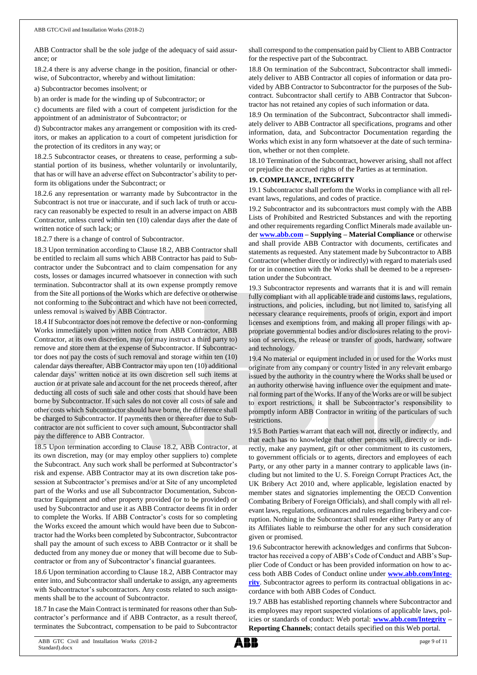ABB Contractor shall be the sole judge of the adequacy of said assurance; or

18.2.4 there is any adverse change in the position, financial or otherwise, of Subcontractor, whereby and without limitation:

a) Subcontractor becomes insolvent; or

b) an order is made for the winding up of Subcontractor; or

c) documents are filed with a court of competent jurisdiction for the appointment of an administrator of Subcontractor; or

d) Subcontractor makes any arrangement or composition with its creditors, or makes an application to a court of competent jurisdiction for the protection of its creditors in any way; or

18.2.5 Subcontractor ceases, or threatens to cease, performing a substantial portion of its business, whether voluntarily or involuntarily, that has or will have an adverse effect on Subcontractor's ability to perform its obligations under the Subcontract; or

18.2.6 any representation or warranty made by Subcontractor in the Subcontract is not true or inaccurate, and if such lack of truth or accuracy can reasonably be expected to result in an adverse impact on ABB Contractor, unless cured within ten (10) calendar days after the date of written notice of such lack; or

18.2.7 there is a change of control of Subcontractor.

18.3 Upon termination according to Clause 18.2, ABB Contractor shall be entitled to reclaim all sums which ABB Contractor has paid to Subcontractor under the Subcontract and to claim compensation for any costs, losses or damages incurred whatsoever in connection with such termination. Subcontractor shall at its own expense promptly remove from the Site all portions of the Works which are defective or otherwise not conforming to the Subcontract and which have not been corrected, unless removal is waived by ABB Contractor.

18.4 If Subcontractor does not remove the defective or non-conforming Works immediately upon written notice from ABB Contractor, ABB Contractor, at its own discretion, may (or may instruct a third party to) remove and store them at the expense of Subcontractor. If Subcontractor does not pay the costs of such removal and storage within ten (10) calendar days thereafter, ABB Contractor may upon ten (10) additional calendar days' written notice at its own discretion sell such items at auction or at private sale and account for the net proceeds thereof, after deducting all costs of such sale and other costs that should have been borne by Subcontractor. If such sales do not cover all costs of sale and other costs which Subcontractor should have borne, the difference shall be charged to Subcontractor. If payments then or thereafter due to Subcontractor are not sufficient to cover such amount, Subcontractor shall pay the difference to ABB Contractor.

18.5 Upon termination according to Clause 18.2, ABB Contractor, at its own discretion, may (or may employ other suppliers to) complete the Subcontract. Any such work shall be performed at Subcontractor's risk and expense. ABB Contractor may at its own discretion take possession at Subcontractor's premises and/or at Site of any uncompleted part of the Works and use all Subcontractor Documentation, Subcontractor Equipment and other property provided (or to be provided) or used by Subcontractor and use it as ABB Contractor deems fit in order to complete the Works. If ABB Contractor's costs for so completing the Works exceed the amount which would have been due to Subcontractor had the Works been completed by Subcontractor, Subcontractor shall pay the amount of such excess to ABB Contractor or it shall be deducted from any money due or money that will become due to Subcontractor or from any of Subcontractor's financial guarantees.

18.6 Upon termination according to Clause 18.2, ABB Contractor may enter into, and Subcontractor shall undertake to assign, any agreements with Subcontractor's subcontractors. Any costs related to such assignments shall be to the account of Subcontractor.

18.7 In case the Main Contract is terminated for reasons other than Subcontractor's performance and if ABB Contractor, as a result thereof, terminates the Subcontract, compensation to be paid to Subcontractor shall correspond to the compensation paid by Client to ABB Contractor for the respective part of the Subcontract.

18.8 On termination of the Subcontract, Subcontractor shall immediately deliver to ABB Contractor all copies of information or data provided by ABB Contractor to Subcontractor for the purposes of the Subcontract. Subcontractor shall certify to ABB Contractor that Subcontractor has not retained any copies of such information or data.

18.9 On termination of the Subcontract, Subcontractor shall immediately deliver to ABB Contractor all specifications, programs and other information, data, and Subcontractor Documentation regarding the Works which exist in any form whatsoever at the date of such termination, whether or not then complete.

18.10 Termination of the Subcontract, however arising, shall not affect or prejudice the accrued rights of the Parties as at termination.

## **19. COMPLIANCE, INTEGRITY**

19.1 Subcontractor shall perform the Works in compliance with all relevant laws, regulations, and codes of practice.

19.2 Subcontractor and its subcontractors must comply with the ABB Lists of Prohibited and Restricted Substances and with the reporting and other requirements regarding Conflict Minerals made available under **[www.abb.com](http://www.abb.com/) – Supplying – Material Compliance** or otherwise and shall provide ABB Contractor with documents, certificates and statements as requested. Any statement made by Subcontractor to ABB Contractor (whether directly or indirectly) with regard to materials used for or in connection with the Works shall be deemed to be a representation under the Subcontract.

19.3 Subcontractor represents and warrants that it is and will remain fully compliant with all applicable trade and customs laws, regulations, instructions, and policies, including, but not limited to, satisfying all necessary clearance requirements, proofs of origin, export and import licenses and exemptions from, and making all proper filings with appropriate governmental bodies and/or disclosures relating to the provision of services, the release or transfer of goods, hardware, software and technology.

19.4 No material or equipment included in or used for the Works must originate from any company or country listed in any relevant embargo issued by the authority in the country where the Works shall be used or an authority otherwise having influence over the equipment and material forming part of the Works. If any of the Works are or will be subject to export restrictions, it shall be Subcontractor's responsibility to promptly inform ABB Contractor in writing of the particulars of such restrictions.

19.5 Both Parties warrant that each will not, directly or indirectly, and that each has no knowledge that other persons will, directly or indirectly, make any payment, gift or other commitment to its customers, to government officials or to agents, directors and employees of each Party, or any other party in a manner contrary to applicable laws (including but not limited to the U. S. Foreign Corrupt Practices Act, the UK Bribery Act 2010 and, where applicable, legislation enacted by member states and signatories implementing the OECD Convention Combating Bribery of Foreign Officials), and shall comply with all relevant laws, regulations, ordinances and rules regarding bribery and corruption. Nothing in the Subcontract shall render either Party or any of its Affiliates liable to reimburse the other for any such consideration given or promised.

19.6 Subcontractor herewith acknowledges and confirms that Subcontractor has received a copy of ABB's Code of Conduct and ABB's Supplier Code of Conduct or has been provided information on how to access both ABB Codes of Conduct online under **[www.abb.com/Integ](http://www.abb.com/Integrity)[rity](http://www.abb.com/Integrity)**. Subcontractor agrees to perform its contractual obligations in accordance with both ABB Codes of Conduct.

19.7 ABB has established reporting channels where Subcontractor and its employees may report suspected violations of applicable laws, policies or standards of conduct: Web portal: **[www.abb.com/Integrity](http://www.abb.com/Integrity) – Reporting Channels**; contact details specified on this Web portal.

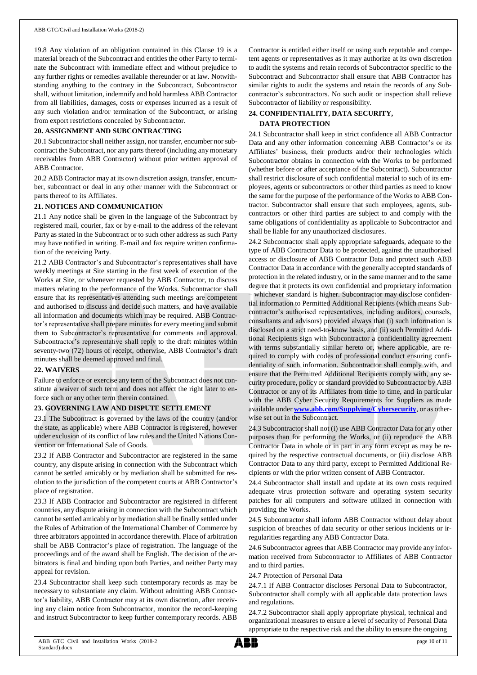19.8 Any violation of an obligation contained in this Clause 19 is a material breach of the Subcontract and entitles the other Party to terminate the Subcontract with immediate effect and without prejudice to any further rights or remedies available thereunder or at law. Notwithstanding anything to the contrary in the Subcontract, Subcontractor shall, without limitation, indemnify and hold harmless ABB Contractor from all liabilities, damages, costs or expenses incurred as a result of any such violation and/or termination of the Subcontract, or arising from export restrictions concealed by Subcontractor.

## **20. ASSIGNMENT AND SUBCONTRACTING**

20.1 Subcontractor shall neither assign, nor transfer, encumber nor subcontract the Subcontract, nor any parts thereof (including any monetary receivables from ABB Contractor) without prior written approval of ABB Contractor.

20.2 ABB Contractor may at its own discretion assign, transfer, encumber, subcontract or deal in any other manner with the Subcontract or parts thereof to its Affiliates.

#### **21. NOTICES AND COMMUNICATION**

21.1 Any notice shall be given in the language of the Subcontract by registered mail, courier, fax or by e-mail to the address of the relevant Party as stated in the Subcontract or to such other address as such Party may have notified in writing. E-mail and fax require written confirmation of the receiving Party.

21.2 ABB Contractor's and Subcontractor's representatives shall have weekly meetings at Site starting in the first week of execution of the Works at Site, or whenever requested by ABB Contractor, to discuss matters relating to the performance of the Works. Subcontractor shall ensure that its representatives attending such meetings are competent and authorised to discuss and decide such matters, and have available all information and documents which may be required. ABB Contractor's representative shall prepare minutes for every meeting and submit them to Subcontractor's representative for comments and approval. Subcontractor's representative shall reply to the draft minutes within seventy-two (72) hours of receipt, otherwise, ABB Contractor's draft minutes shall be deemed approved and final.

## **22. WAIVERS**

Failure to enforce or exercise any term of the Subcontract does not constitute a waiver of such term and does not affect the right later to enforce such or any other term therein contained.

## **23. GOVERNING LAW AND DISPUTE SETTLEMENT**

23.1 The Subcontract is governed by the laws of the country (and/or the state, as applicable) where ABB Contractor is registered, however under exclusion of its conflict of law rules and the United Nations Convention on International Sale of Goods.

23.2 If ABB Contractor and Subcontractor are registered in the same country, any dispute arising in connection with the Subcontract which cannot be settled amicably or by mediation shall be submitted for resolution to the jurisdiction of the competent courts at ABB Contractor's place of registration.

23.3 If ABB Contractor and Subcontractor are registered in different countries, any dispute arising in connection with the Subcontract which cannot be settled amicably or by mediation shall be finally settled under the Rules of Arbitration of the International Chamber of Commerce by three arbitrators appointed in accordance therewith. Place of arbitration shall be ABB Contractor's place of registration. The language of the proceedings and of the award shall be English. The decision of the arbitrators is final and binding upon both Parties, and neither Party may appeal for revision.

23.4 Subcontractor shall keep such contemporary records as may be necessary to substantiate any claim. Without admitting ABB Contractor's liability, ABB Contractor may at its own discretion, after receiving any claim notice from Subcontractor, monitor the record-keeping and instruct Subcontractor to keep further contemporary records. ABB

Contractor is entitled either itself or using such reputable and competent agents or representatives as it may authorize at its own discretion to audit the systems and retain records of Subcontractor specific to the Subcontract and Subcontractor shall ensure that ABB Contractor has similar rights to audit the systems and retain the records of any Subcontractor's subcontractors. No such audit or inspection shall relieve Subcontractor of liability or responsibility.

## **24. CONFIDENTIALITY, DATA SECURITY, DATA PROTECTION**

24.1 Subcontractor shall keep in strict confidence all ABB Contractor Data and any other information concerning ABB Contractor's or its Affiliates' business, their products and/or their technologies which Subcontractor obtains in connection with the Works to be performed (whether before or after acceptance of the Subcontract). Subcontractor shall restrict disclosure of such confidential material to such of its employees, agents or subcontractors or other third parties as need to know the same for the purpose of the performance of the Works to ABB Contractor. Subcontractor shall ensure that such employees, agents, subcontractors or other third parties are subject to and comply with the same obligations of confidentiality as applicable to Subcontractor and shall be liable for any unauthorized disclosures.

24.2 Subcontractor shall apply appropriate safeguards, adequate to the type of ABB Contractor Data to be protected, against the unauthorised access or disclosure of ABB Contractor Data and protect such ABB Contractor Data in accordance with the generally accepted standards of protection in the related industry, or in the same manner and to the same degree that it protects its own confidential and proprietary information – whichever standard is higher. Subcontractor may disclose confidential information to Permitted Additional Recipients (which means Subcontractor's authorised representatives, including auditors, counsels, consultants and advisors) provided always that (i) such information is disclosed on a strict need-to-know basis, and (ii) such Permitted Additional Recipients sign with Subcontractor a confidentiality agreement with terms substantially similar hereto or, where applicable, are required to comply with codes of professional conduct ensuring confidentiality of such information. Subcontractor shall comply with, and ensure that the Permitted Additional Recipients comply with, any security procedure, policy or standard provided to Subcontractor by ABB Contractor or any of its Affiliates from time to time, and in particular with the ABB Cyber Security Requirements for Suppliers as made available under **[www.abb.com/Supplying/Cybersecurity](http://www.abb.com/Supplying/Cybersecurity)**, or as otherwise set out in the Subcontract.

24.3 Subcontractor shall not (i) use ABB Contractor Data for any other purposes than for performing the Works, or (ii) reproduce the ABB Contractor Data in whole or in part in any form except as may be required by the respective contractual documents, or (iii) disclose ABB Contractor Data to any third party, except to Permitted Additional Recipients or with the prior written consent of ABB Contractor.

24.4 Subcontractor shall install and update at its own costs required adequate virus protection software and operating system security patches for all computers and software utilized in connection with providing the Works.

24.5 Subcontractor shall inform ABB Contractor without delay about suspicion of breaches of data security or other serious incidents or irregularities regarding any ABB Contractor Data.

24.6 Subcontractor agrees that ABB Contractor may provide any information received from Subcontractor to Affiliates of ABB Contractor and to third parties.

24.7 Protection of Personal Data

24.7.1 If ABB Contractor discloses Personal Data to Subcontractor, Subcontractor shall comply with all applicable data protection laws and regulations.

24.7.2 Subcontractor shall apply appropriate physical, technical and organizational measures to ensure a level of security of Personal Data appropriate to the respective risk and the ability to ensure the ongoing